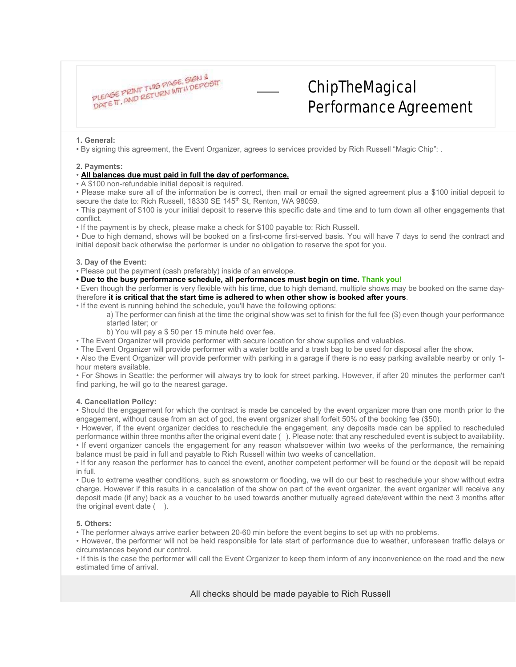

# ChipTheMagical Performance Agreement

#### **1. General:**

• By signing this agreement, the Event Organizer, agrees to services provided by Rich Russell "Magic Chip": .

#### **2. Payments:**

#### • **All balances due must paid in full the day of performance.**

• A \$100 non-refundable initial deposit is required.

• Please make sure all of the information be is correct, then mail or email the signed agreement plus a \$100 initial deposit to secure the date to: Rich Russell, 18330 SE 145<sup>th</sup> St, Renton, WA 98059.

• This payment of \$100 is your initial deposit to reserve this specific date and time and to turn down all other engagements that conflict.

• If the payment is by check, please make a check for \$100 payable to: Rich Russell.

• Due to high demand, shows will be booked on a first-come first-served basis. You will have 7 days to send the contract and initial deposit back otherwise the performer is under no obligation to reserve the spot for you.

#### **3. Day of the Event:**

• Please put the payment (cash preferably) inside of an envelope.

**• Due to the busy performance schedule, all performances must begin on time. Thank you!**

• Even though the performer is very flexible with his time, due to high demand, multiple shows may be booked on the same daytherefore **it is critical that the start time is adhered to when other show is booked after yours**.

• If the event is running behind the schedule, you'll have the following options:

a) The performer can finish at the time the original show was set to finish for the full fee (\$) even though your performance started later; or

b) You will pay a \$ 50 per 15 minute held over fee.

• The Event Organizer will provide performer with secure location for show supplies and valuables.

• The Event Organizer will provide performer with a water bottle and a trash bag to be used for disposal after the show.

• Also the Event Organizer will provide performer with parking in a garage if there is no easy parking available nearby or only 1 hour meters available.

• For Shows in Seattle: the performer will always try to look for street parking. However, if after 20 minutes the performer can't find parking, he will go to the nearest garage.

### **4. Cancellation Policy:**

• Should the engagement for which the contract is made be canceled by the event organizer more than one month prior to the engagement, without cause from an act of god, the event organizer shall forfeit 50% of the booking fee (\$50).

• However, if the event organizer decides to reschedule the engagement, any deposits made can be applied to rescheduled performance within three months after the original event date ( ). Please note: that any rescheduled event is subject to availability. • If event organizer cancels the engagement for any reason whatsoever within two weeks of the performance, the remaining balance must be paid in full and payable to Rich Russell within two weeks of cancellation.

• If for any reason the performer has to cancel the event, another competent performer will be found or the deposit will be repaid in full.

• Due to extreme weather conditions, such as snowstorm or flooding, we will do our best to reschedule your show without extra charge. However if this results in a cancelation of the show on part of the event organizer, the event organizer will receive any deposit made (if any) back as a voucher to be used towards another mutually agreed date/event within the next 3 months after the original event date  $( )$ .

## **5. Others:**

• The performer always arrive earlier between 20-60 min before the event begins to set up with no problems.

• However, the performer will not be held responsible for late start of performance due to weather, unforeseen traffic delays or circumstances beyond our control.

• If this is the case the performer will call the Event Organizer to keep them inform of any inconvenience on the road and the new estimated time of arrival.

All checks should be made payable to Rich Russell